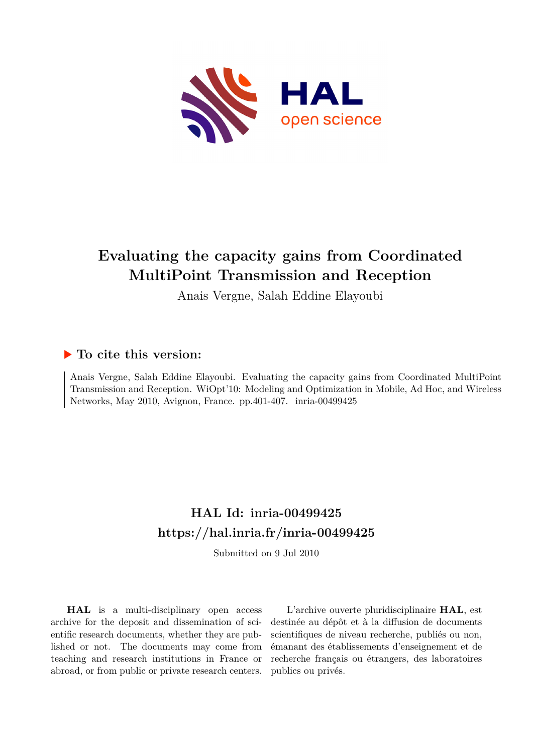

## **Evaluating the capacity gains from Coordinated MultiPoint Transmission and Reception**

Anais Vergne, Salah Eddine Elayoubi

### **To cite this version:**

Anais Vergne, Salah Eddine Elayoubi. Evaluating the capacity gains from Coordinated MultiPoint Transmission and Reception. WiOpt'10: Modeling and Optimization in Mobile, Ad Hoc, and Wireless Networks, May 2010, Avignon, France. pp.401-407. inria-00499425

## **HAL Id: inria-00499425 <https://hal.inria.fr/inria-00499425>**

Submitted on 9 Jul 2010

**HAL** is a multi-disciplinary open access archive for the deposit and dissemination of scientific research documents, whether they are published or not. The documents may come from teaching and research institutions in France or abroad, or from public or private research centers.

L'archive ouverte pluridisciplinaire **HAL**, est destinée au dépôt et à la diffusion de documents scientifiques de niveau recherche, publiés ou non, émanant des établissements d'enseignement et de recherche français ou étrangers, des laboratoires publics ou privés.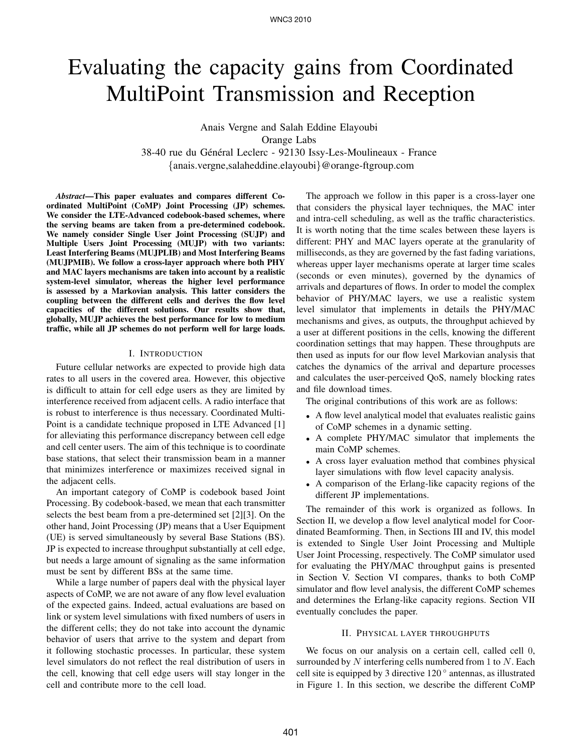# Evaluating the capacity gains from Coordinated MultiPoint Transmission and Reception

Anais Vergne and Salah Eddine Elayoubi Orange Labs 38-40 rue du Général Leclerc - 92130 Issy-Les-Moulineaux - France

{anais.vergne,salaheddine.elayoubi}@orange-ftgroup.com

*Abstract***—This paper evaluates and compares different Coordinated MultiPoint (CoMP) Joint Processing (JP) schemes. We consider the LTE-Advanced codebook-based schemes, where the serving beams are taken from a pre-determined codebook. We namely consider Single User Joint Processing (SUJP) and Multiple Users Joint Processing (MUJP) with two variants: Least Interfering Beams (MUJPLIB) and Most Interfering Beams (MUJPMIB). We follow a cross-layer approach where both PHY and MAC layers mechanisms are taken into account by a realistic system-level simulator, whereas the higher level performance is assessed by a Markovian analysis. This latter considers the coupling between the different cells and derives the flow level capacities of the different solutions. Our results show that, globally, MUJP achieves the best performance for low to medium traffic, while all JP schemes do not perform well for large loads.**

#### I. INTRODUCTION

Future cellular networks are expected to provide high data rates to all users in the covered area. However, this objective is difficult to attain for cell edge users as they are limited by interference received from adjacent cells. A radio interface that is robust to interference is thus necessary. Coordinated Multi-Point is a candidate technique proposed in LTE Advanced [1] for alleviating this performance discrepancy between cell edge and cell center users. The aim of this technique is to coordinate base stations, that select their transmission beam in a manner that minimizes interference or maximizes received signal in the adjacent cells.

An important category of CoMP is codebook based Joint Processing. By codebook-based, we mean that each transmitter selects the best beam from a pre-determined set [2][3]. On the other hand, Joint Processing (JP) means that a User Equipment (UE) is served simultaneously by several Base Stations (BS). JP is expected to increase throughput substantially at cell edge, but needs a large amount of signaling as the same information must be sent by different BSs at the same time.

While a large number of papers deal with the physical layer aspects of CoMP, we are not aware of any flow level evaluation of the expected gains. Indeed, actual evaluations are based on link or system level simulations with fixed numbers of users in the different cells; they do not take into account the dynamic behavior of users that arrive to the system and depart from it following stochastic processes. In particular, these system level simulators do not reflect the real distribution of users in the cell, knowing that cell edge users will stay longer in the cell and contribute more to the cell load.

The approach we follow in this paper is a cross-layer one that considers the physical layer techniques, the MAC inter and intra-cell scheduling, as well as the traffic characteristics. It is worth noting that the time scales between these layers is different: PHY and MAC layers operate at the granularity of milliseconds, as they are governed by the fast fading variations, whereas upper layer mechanisms operate at larger time scales (seconds or even minutes), governed by the dynamics of arrivals and departures of flows. In order to model the complex behavior of PHY/MAC layers, we use a realistic system level simulator that implements in details the PHY/MAC mechanisms and gives, as outputs, the throughput achieved by a user at different positions in the cells, knowing the different coordination settings that may happen. These throughputs are then used as inputs for our flow level Markovian analysis that catches the dynamics of the arrival and departure processes and calculates the user-perceived QoS, namely blocking rates and file download times.

The original contributions of this work are as follows:

- A flow level analytical model that evaluates realistic gains of CoMP schemes in a dynamic setting.
- A complete PHY/MAC simulator that implements the main CoMP schemes.
- A cross layer evaluation method that combines physical layer simulations with flow level capacity analysis.
- A comparison of the Erlang-like capacity regions of the different JP implementations.

The remainder of this work is organized as follows. In Section II, we develop a flow level analytical model for Coordinated Beamforming. Then, in Sections III and IV, this model is extended to Single User Joint Processing and Multiple User Joint Processing, respectively. The CoMP simulator used for evaluating the PHY/MAC throughput gains is presented in Section V. Section VI compares, thanks to both CoMP simulator and flow level analysis, the different CoMP schemes and determines the Erlang-like capacity regions. Section VII eventually concludes the paper.

#### II. PHYSICAL LAYER THROUGHPUTS

We focus on our analysis on a certain cell, called cell 0, surrounded by N interfering cells numbered from 1 to  $N$ . Each cell site is equipped by 3 directive 120 ◦ antennas, as illustrated in Figure 1. In this section, we describe the different CoMP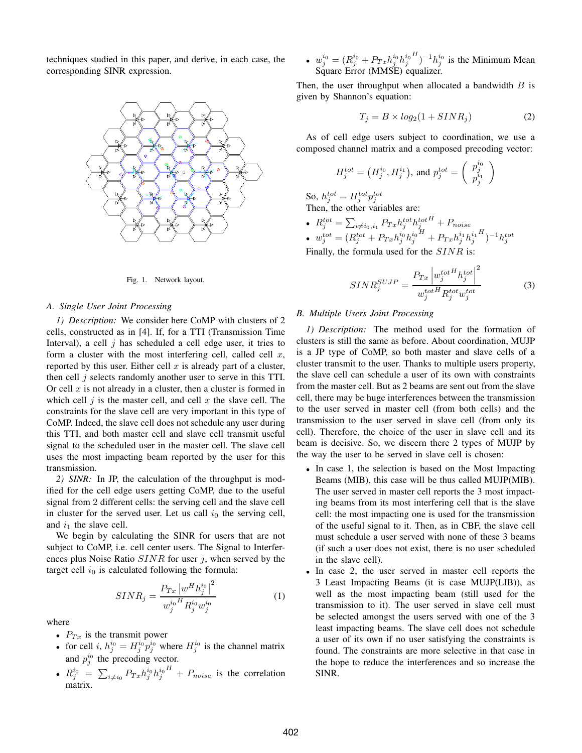techniques studied in this paper, and derive, in each case, the corresponding SINR expression.



Fig. 1. Network layout.

#### *A. Single User Joint Processing*

*1) Description:* We consider here CoMP with clusters of 2 cells, constructed as in [4]. If, for a TTI (Transmission Time Interval), a cell  $j$  has scheduled a cell edge user, it tries to form a cluster with the most interfering cell, called cell  $x$ , reported by this user. Either cell  $x$  is already part of a cluster, then cell  $j$  selects randomly another user to serve in this TTI. Or cell  $x$  is not already in a cluster, then a cluster is formed in which cell  $j$  is the master cell, and cell  $x$  the slave cell. The constraints for the slave cell are very important in this type of CoMP. Indeed, the slave cell does not schedule any user during this TTI, and both master cell and slave cell transmit useful signal to the scheduled user in the master cell. The slave cell uses the most impacting beam reported by the user for this transmission.

*2) SINR:* In JP, the calculation of the throughput is modified for the cell edge users getting CoMP, due to the useful signal from 2 different cells: the serving cell and the slave cell in cluster for the served user. Let us call  $i_0$  the serving cell, and  $i_1$  the slave cell.

We begin by calculating the SINR for users that are not subject to CoMP, i.e. cell center users. The Signal to Interferences plus Noise Ratio  $SINR$  for user j, when served by the target cell  $i_0$  is calculated following the formula:

$$
SINR_{j} = \frac{P_{Tx} |w^{H} h_{j}^{i_{0}}|^{2}}{w_{j}^{i_{0}} H R_{j}^{i_{0}} w_{j}^{i_{0}}}
$$
(1)

where

- $P_{Tx}$  is the transmit power
- for cell i,  $h_j^{i_0} = H_j^{i_0} p_j^{i_0}$  where  $H_j^{i_0}$  is the channel matrix and  $p_j^{i_0}$  the precoding vector.
- $\textbf{e} \;\; R^{i_0}_j \; = \; \sum_{i \neq i_0} P_{Tx} h^{i_0}_j h^{i_0}_j$  $H_{+} P_{noise}$  is the correlation matrix.

 $\bullet \ \ w^{i_0}_j = (R^{i_0}_j + P_{Tx} h^{i_0}_j h^{i_0}_j)$  $\binom{H}{j}$  -1 $h_j^{i_0}$  is the Minimum Mean Square Error (MMSE) equalizer.

Then, the user throughput when allocated a bandwidth  $B$  is given by Shannon's equation:

$$
T_j = B \times log_2(1 + SINR_j)
$$
 (2)

As of cell edge users subject to coordination, we use a composed channel matrix and a composed precoding vector:

$$
H_j^{tot} = \left(H_j^{i_0}, H_j^{i_1}\right), \text{ and } p_j^{tot} = \left(\begin{array}{c}p_j^{i_0} \\ p_j^{i_1} \end{array}\right)
$$

So,  $h_j^{tot} = H_j^{tot} p_j^{tot}$ <br>Then, the other variables are:

•  $R_j^{tot} = \sum_{i \neq i_0,i_1} P_{Tx} h_j^{tot} h_j^{tot^H} + P_{noise}$ •  $w_j^{tot} = (R_j^{tot} + P_{Tx} h_j^{i_0} h_j^{i_0})$  $\ddot{H}+P_{Tx}h^{i_1}_jh^{i_1}_j$  $^{H})^{-1}h_{j}^{tot}$ Finally, the formula used for the  $SINR$  is

$$
SINR_j^{SUIP} = \frac{P_{Tx} \left| w_j^{totH} h_j^{tot} \right|^2}{w_j^{totH} R_j^{tot} w_j^{tot}} \tag{3}
$$

#### *B. Multiple Users Joint Processing*

*1) Description:* The method used for the formation of clusters is still the same as before. About coordination, MUJP is a JP type of CoMP, so both master and slave cells of a cluster transmit to the user. Thanks to multiple users property, the slave cell can schedule a user of its own with constraints from the master cell. But as 2 beams are sent out from the slave cell, there may be huge interferences between the transmission to the user served in master cell (from both cells) and the transmission to the user served in slave cell (from only its cell). Therefore, the choice of the user in slave cell and its beam is decisive. So, we discern there 2 types of MUJP by the way the user to be served in slave cell is chosen:

- In case 1, the selection is based on the Most Impacting Beams (MIB), this case will be thus called MUJP(MIB). The user served in master cell reports the 3 most impacting beams from its most interfering cell that is the slave cell: the most impacting one is used for the transmission of the useful signal to it. Then, as in CBF, the slave cell must schedule a user served with none of these 3 beams (if such a user does not exist, there is no user scheduled in the slave cell).
- In case 2, the user served in master cell reports the 3 Least Impacting Beams (it is case MUJP(LIB)), as well as the most impacting beam (still used for the transmission to it). The user served in slave cell must be selected amongst the users served with one of the 3 least impacting beams. The slave cell does not schedule a user of its own if no user satisfying the constraints is found. The constraints are more selective in that case in the hope to reduce the interferences and so increase the SINR.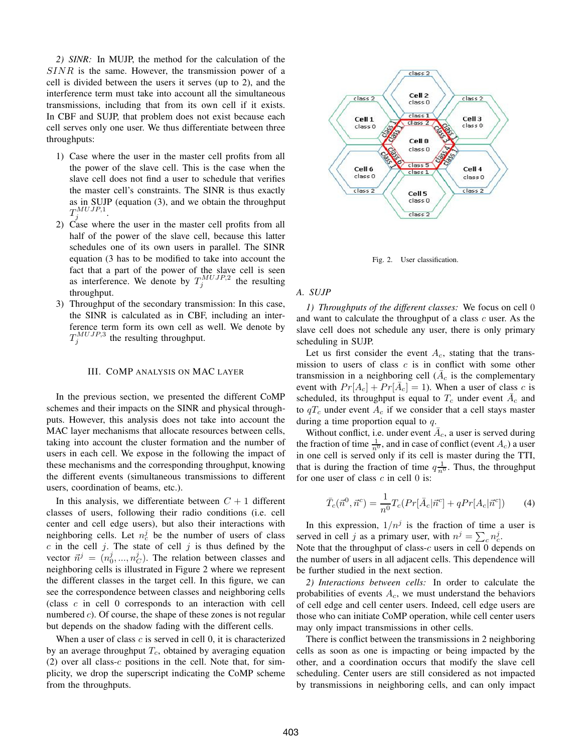*2) SINR:* In MUJP, the method for the calculation of the SINR is the same. However, the transmission power of a cell is divided between the users it serves (up to 2), and the interference term must take into account all the simultaneous transmissions, including that from its own cell if it exists. In CBF and SUJP, that problem does not exist because each cell serves only one user. We thus differentiate between three throughputs:

- 1) Case where the user in the master cell profits from all the power of the slave cell. This is the case when the slave cell does not find a user to schedule that verifies the master cell's constraints. The SINR is thus exactly as in SUJP (equation (3), and we obtain the throughput  $T_j^{MUJP,1}.$
- 2) Case where the user in the master cell profits from all half of the power of the slave cell, because this latter schedules one of its own users in parallel. The SINR equation (3 has to be modified to take into account the fact that a part of the power of the slave cell is seen as interference. We denote by  $T_j^{MUJP,2}$  the resulting throughput.
- 3) Throughput of the secondary transmission: In this case, the SINR is calculated as in CBF, including an interference term form its own cell as well. We denote by  $T_j^{MUJP,3}$  the resulting throughput.

#### III. COMP ANALYSIS ON MAC LAYER

In the previous section, we presented the different CoMP schemes and their impacts on the SINR and physical throughputs. However, this analysis does not take into account the MAC layer mechanisms that allocate resources between cells, taking into account the cluster formation and the number of users in each cell. We expose in the following the impact of these mechanisms and the corresponding throughput, knowing the different events (simultaneous transmissions to different users, coordination of beams, etc.).

In this analysis, we differentiate between  $C + 1$  different classes of users, following their radio conditions (i.e. cell center and cell edge users), but also their interactions with neighboring cells. Let  $n_c^j$  be the number of users of class  $c$  in the cell  $j$ . The state of cell  $j$  is thus defined by the vector  $\vec{n}^j = (n_0^j, ..., n_C^j)$ . The relation between classes and neighboring cells is illustrated in Figure 2 where we represent the different classes in the target cell. In this figure, we can see the correspondence between classes and neighboring cells (class c in cell 0 corresponds to an interaction with cell numbered  $c$ ). Of course, the shape of these zones is not regular but depends on the shadow fading with the different cells.

When a user of class  $c$  is served in cell 0, it is characterized by an average throughput  $T_c$ , obtained by averaging equation  $(2)$  over all class-c positions in the cell. Note that, for simplicity, we drop the superscript indicating the CoMP scheme from the throughputs.



Fig. 2. User classification.

#### *A. SUJP*

*1) Throughputs of the different classes:* We focus on cell 0 and want to calculate the throughput of a class  $c$  user. As the slave cell does not schedule any user, there is only primary scheduling in SUJP.

Let us first consider the event  $A_c$ , stating that the transmission to users of class  $c$  is in conflict with some other transmission in a neighboring cell ( $\bar{A}_c$  is the complementary event with  $Pr[A_c] + Pr[\overline{A}_c] = 1$ ). When a user of class c is scheduled, its throughput is equal to  $T_c$  under event  $\bar{A}_c$  and to  $qT_c$  under event  $A_c$  if we consider that a cell stays master during a time proportion equal to q.

Without conflict, i.e. under event  $\overline{A}_c$ , a user is served during the fraction of time  $\frac{1}{n^0}$ , and in case of conflict (event  $A_c$ ) a user in one cell is served only if its cell is master during the TTI, that is during the fraction of time  $q\frac{1}{n^0}$ . Thus, the throughput for one user of class  $c$  in cell 0 is:

$$
\bar{T}_c(\vec{n}^0, \vec{n}^c) = \frac{1}{n^0} T_c(Pr[\bar{A}_c | \vec{n}^c] + qPr[A_c | \vec{n}^c])
$$
(4)

In this expression,  $1/n<sup>j</sup>$  is the fraction of time a user is served in cell j as a primary user, with  $n^j = \sum_c n_c^j$ .

Note that the throughput of class- $c$  users in cell 0 depends on the number of users in all adjacent cells. This dependence will be further studied in the next section.

*2) Interactions between cells:* In order to calculate the probabilities of events  $A_c$ , we must understand the behaviors of cell edge and cell center users. Indeed, cell edge users are those who can initiate CoMP operation, while cell center users may only impact transmissions in other cells.

There is conflict between the transmissions in 2 neighboring cells as soon as one is impacting or being impacted by the other, and a coordination occurs that modify the slave cell scheduling. Center users are still considered as not impacted by transmissions in neighboring cells, and can only impact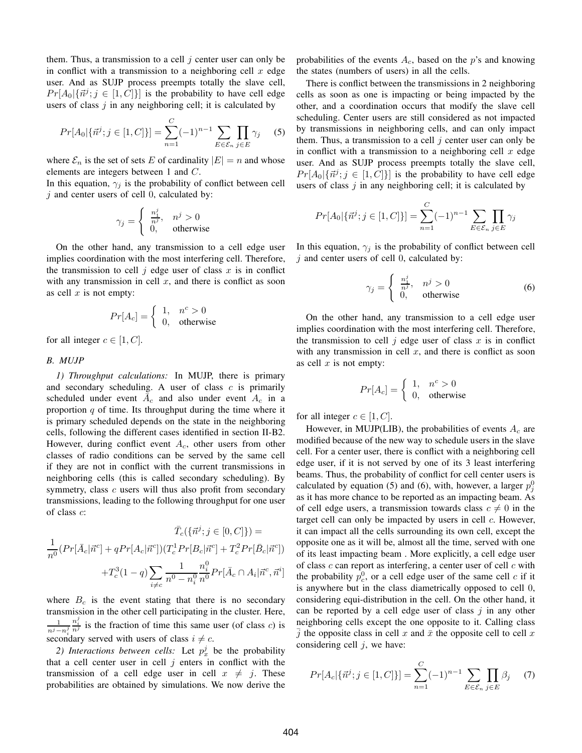them. Thus, a transmission to a cell  $j$  center user can only be in conflict with a transmission to a neighboring cell  $x$  edge user. And as SUJP process preempts totally the slave cell,  $Pr[A_0 | {\vec{n}^j; j \in [1, C]}]$  is the probability to have cell edge users of class  $j$  in any neighboring cell; it is calculated by

$$
Pr[A_0|\{\vec{n}^j; j \in [1, C]\}] = \sum_{n=1}^{C} (-1)^{n-1} \sum_{E \in \mathcal{E}_n} \prod_{j \in E} \gamma_j \quad (5)
$$

where  $\mathcal{E}_n$  is the set of sets E of cardinality  $|E| = n$  and whose elements are integers between 1 and C.

In this equation,  $\gamma_i$  is the probability of conflict between cell  $j$  and center users of cell 0, calculated by:

$$
\gamma_j = \begin{cases} \frac{n_1^j}{n^j}, & n^j > 0\\ 0, & \text{otherwise} \end{cases}
$$

On the other hand, any transmission to a cell edge user implies coordination with the most interfering cell. Therefore, the transmission to cell  $j$  edge user of class  $x$  is in conflict with any transmission in cell  $x$ , and there is conflict as soon as cell  $x$  is not empty:

$$
Pr[A_c] = \begin{cases} 1, & n^c > 0 \\ 0, & \text{otherwise} \end{cases}
$$

for all integer  $c \in [1, C]$ .

#### *B. MUJP*

*1) Throughput calculations:* In MUJP, there is primary and secondary scheduling. A user of class  $c$  is primarily scheduled under event  $\overline{A}_c$  and also under event  $A_c$  in a proportion  $q$  of time. Its throughput during the time where it is primary scheduled depends on the state in the neighboring cells, following the different cases identified in section II-B2. However, during conflict event  $A_c$ , other users from other classes of radio conditions can be served by the same cell if they are not in conflict with the current transmissions in neighboring cells (this is called secondary scheduling). By symmetry, class  $c$  users will thus also profit from secondary transmissions, leading to the following throughput for one user of class c:

$$
\bar{T}_c(\{\vec{n}^j; j \in [0, C]\}) =
$$
\n
$$
\frac{1}{n^0} (Pr[\bar{A}_c | \vec{n}^c] + qPr[A_c | \vec{n}^c]) (T_c^1 Pr[B_c | \vec{n}^c] + T_c^2 Pr[\bar{B}_c | \vec{n}^c])
$$
\n
$$
+ T_c^3 (1 - q) \sum_{i \neq c} \frac{1}{n^0 - n_i^0} \frac{n_i^0}{n^0} Pr[\bar{A}_c \cap A_i | \vec{n}^c, \vec{n}^i]
$$

where  $B_c$  is the event stating that there is no secondary transmission in the other cell participating in the cluster. Here, 1  $\frac{1}{n^j-n^j}$   $\frac{n^j_i}{n^j}$  is the fraction of time this same user (of class *c*) is secondary served with users of class  $i \neq c$ .

2) Interactions between cells: Let  $p_x^j$  be the probability that a cell center user in cell  $j$  enters in conflict with the transmission of a cell edge user in cell  $x \neq j$ . These probabilities are obtained by simulations. We now derive the

probabilities of the events  $A_c$ , based on the p's and knowing the states (numbers of users) in all the cells.

There is conflict between the transmissions in 2 neighboring cells as soon as one is impacting or being impacted by the other, and a coordination occurs that modify the slave cell scheduling. Center users are still considered as not impacted by transmissions in neighboring cells, and can only impact them. Thus, a transmission to a cell  $j$  center user can only be in conflict with a transmission to a neighboring cell  $x$  edge user. And as SUJP process preempts totally the slave cell,  $Pr[A_0 | {\vec{n}^j; j \in [1, C]}]$  is the probability to have cell edge users of class  $j$  in any neighboring cell; it is calculated by

$$
Pr[A_0|\{\vec{n}^j; j \in [1, C]\}] = \sum_{n=1}^{C} (-1)^{n-1} \sum_{E \in \mathcal{E}_n} \prod_{j \in E} \gamma_j
$$

In this equation,  $\gamma_i$  is the probability of conflict between cell  $\dot{\gamma}$  and center users of cell 0, calculated by:

$$
\gamma_j = \begin{cases} \frac{n_1^j}{n^j}, & n^j > 0\\ 0, & \text{otherwise} \end{cases} \tag{6}
$$

On the other hand, any transmission to a cell edge user implies coordination with the most interfering cell. Therefore, the transmission to cell  $j$  edge user of class  $x$  is in conflict with any transmission in cell  $x$ , and there is conflict as soon as cell  $x$  is not empty:

$$
Pr[A_c] = \begin{cases} 1, & n^c > 0 \\ 0, & \text{otherwise} \end{cases}
$$

for all integer  $c \in [1, C]$ .

However, in MUJP(LIB), the probabilities of events  $A_c$  are modified because of the new way to schedule users in the slave cell. For a center user, there is conflict with a neighboring cell edge user, if it is not served by one of its 3 least interfering beams. Thus, the probability of conflict for cell center users is calculated by equation (5) and (6), with, however, a larger  $p_j^0$ as it has more chance to be reported as an impacting beam. As of cell edge users, a transmission towards class  $c \neq 0$  in the target cell can only be impacted by users in cell  $c$ . However, it can impact all the cells surrounding its own cell, except the opposite one as it will be, almost all the time, served with one of its least impacting beam . More explicitly, a cell edge user of class  $c$  can report as interfering, a center user of cell  $c$  with the probability  $p_c^0$ , or a cell edge user of the same cell c if it is anywhere but in the class diametrically opposed to cell 0, considering equi-distribution in the cell. On the other hand, it can be reported by a cell edge user of class  $j$  in any other neighboring cells except the one opposite to it. Calling class  $\overline{j}$  the opposite class in cell x and  $\overline{x}$  the opposite cell to cell x considering cell  $j$ , we have:

$$
Pr[A_c | \{\vec{n}^j; j \in [1, C]\}] = \sum_{n=1}^{C} (-1)^{n-1} \sum_{E \in \mathcal{E}_n} \prod_{j \in E} \beta_j \tag{7}
$$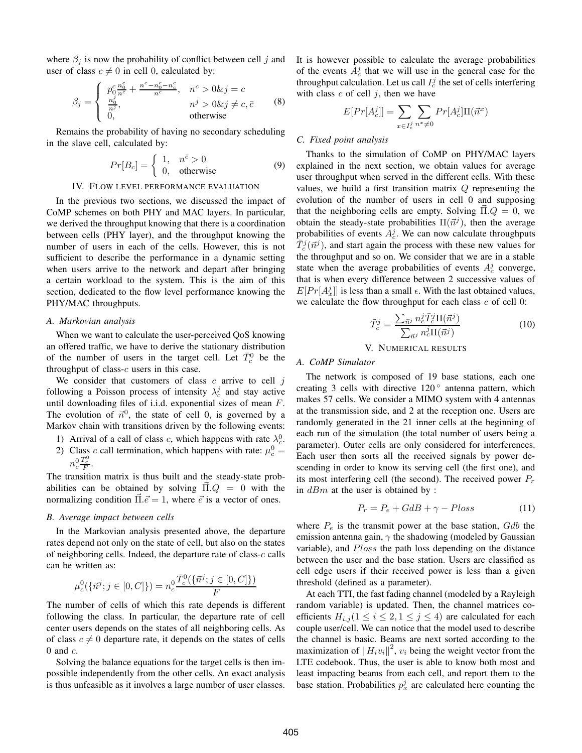where  $\beta_j$  is now the probability of conflict between cell j and user of class  $c \neq 0$  in cell 0, calculated by:

$$
\beta_j = \begin{cases}\n p_0^c \frac{n_0^c}{n^c} + \frac{n^c - n_0^c - n_{\bar{c}}^c}{n^c}, & n^c > 0 \& j = c \\
\frac{n_0^j}{n^j}, & n^j > 0 \& j \neq c, \bar{c} \\
0, & \text{otherwise}\n\end{cases} \tag{8}
$$

Remains the probability of having no secondary scheduling in the slave cell, calculated by:

$$
Pr[B_c] = \begin{cases} 1, & n^{\bar{c}} > 0 \\ 0, & \text{otherwise} \end{cases}
$$
 (9)

#### IV. FLOW LEVEL PERFORMANCE EVALUATION

In the previous two sections, we discussed the impact of CoMP schemes on both PHY and MAC layers. In particular, we derived the throughput knowing that there is a coordination between cells (PHY layer), and the throughput knowing the number of users in each of the cells. However, this is not sufficient to describe the performance in a dynamic setting when users arrive to the network and depart after bringing a certain workload to the system. This is the aim of this section, dedicated to the flow level performance knowing the PHY/MAC throughputs.

#### *A. Markovian analysis*

When we want to calculate the user-perceived QoS knowing an offered traffic, we have to derive the stationary distribution of the number of users in the target cell. Let  $\bar{T}_c^0$  be the throughput of class- $c$  users in this case.

We consider that customers of class  $c$  arrive to cell  $j$ following a Poisson process of intensity  $\lambda_c^j$  and stay active until downloading files of i.i.d. exponential sizes of mean F. The evolution of  $\vec{n}^0$ , the state of cell 0, is governed by a Markov chain with transitions driven by the following events:

- 1) Arrival of a call of class c, which happens with rate  $\lambda_c^0$ .
- 2) Class c call termination, which happens with rate:  $\mu_c^0$  =  $n_c^0 \frac{\bar{T}_c^0}{F}.$

The transition matrix is thus built and the steady-state probabilities can be obtained by solving  $\Pi.Q = 0$  with the normalizing condition  $\Pi \cdot \vec{e} = 1$ , where  $\vec{e}$  is a vector of ones.

#### *B. Average impact between cells*

In the Markovian analysis presented above, the departure rates depend not only on the state of cell, but also on the states of neighboring cells. Indeed, the departure rate of class- $c$  calls can be written as:

$$
\mu_c^0(\{\vec{n}^j; j \in [0, C]\}) = n_c^0 \frac{\bar{T}_c^0(\{\vec{n}^j; j \in [0, C]\})}{F}
$$

The number of cells of which this rate depends is different following the class. In particular, the departure rate of cell center users depends on the states of all neighboring cells. As of class  $c \neq 0$  departure rate, it depends on the states of cells 0 and  $c$ .

Solving the balance equations for the target cells is then impossible independently from the other cells. An exact analysis is thus unfeasible as it involves a large number of user classes.

It is however possible to calculate the average probabilities of the events  $A_c^j$  that we will use in the general case for the throughput calculation. Let us call  $I_c^j$  the set of cells interfering with class  $c$  of cell  $j$ , then we have

$$
E[Pr[A_c^j]] = \sum_{x \in I_c^j} \sum_{n^x \neq 0} Pr[A_c^j] \Pi(\vec{n}^x)
$$

#### *C. Fixed point analysis*

Thanks to the simulation of CoMP on PHY/MAC layers explained in the next section, we obtain values for average user throughput when served in the different cells. With these values, we build a first transition matrix  $Q$  representing the evolution of the number of users in cell 0 and supposing that the neighboring cells are empty. Solving  $\Pi_{\alpha} Q = 0$ , we obtain the steady-state probabilities  $\Pi(\vec{n}^j)$ , then the average probabilities of events  $A_c^j$ . We can now calculate throughputs  $\bar{T}_c^j(\vec{n}^j)$ , and start again the process with these new values for the throughput and so on. We consider that we are in a stable state when the average probabilities of events  $A_c^j$  converge, that is when every difference between 2 successive values of  $E[Pr[A_x^j]]$  is less than a small  $\epsilon$ . With the last obtained values, we calculate the flow throughput for each class  $c$  of cell  $0$ :

$$
\tilde{T}_c^j = \frac{\sum_{\vec{n}^j} n_c^j \bar{T}_c^j \Pi(\vec{n}^j)}{\sum_{\vec{n}^j} n_c^j \Pi(\vec{n}^j)}
$$
(10)

#### V. NUMERICAL RESULTS

#### *A. CoMP Simulator*

The network is composed of 19 base stations, each one creating 3 cells with directive  $120^{\circ}$  antenna pattern, which makes 57 cells. We consider a MIMO system with 4 antennas at the transmission side, and 2 at the reception one. Users are randomly generated in the 21 inner cells at the beginning of each run of the simulation (the total number of users being a parameter). Outer cells are only considered for interferences. Each user then sorts all the received signals by power descending in order to know its serving cell (the first one), and its most interfering cell (the second). The received power  $P_r$ in  $dBm$  at the user is obtained by :

$$
P_r = P_e + GdB + \gamma - Ploss \tag{11}
$$

where  $P_e$  is the transmit power at the base station,  $Gdb$  the emission antenna gain,  $\gamma$  the shadowing (modeled by Gaussian variable), and Ploss the path loss depending on the distance between the user and the base station. Users are classified as cell edge users if their received power is less than a given threshold (defined as a parameter).

At each TTI, the fast fading channel (modeled by a Rayleigh random variable) is updated. Then, the channel matrices coefficients  $H_{i,j}$  ( $1 \le i \le 2, 1 \le j \le 4$ ) are calculated for each couple user/cell. We can notice that the model used to describe the channel is basic. Beams are next sorted according to the maximization of  $||H_i v_i||^2$ ,  $v_i$  being the weight vector from the LTE codebook. Thus, the user is able to know both most and least impacting beams from each cell, and report them to the base station. Probabilities  $p_x^j$  are calculated here counting the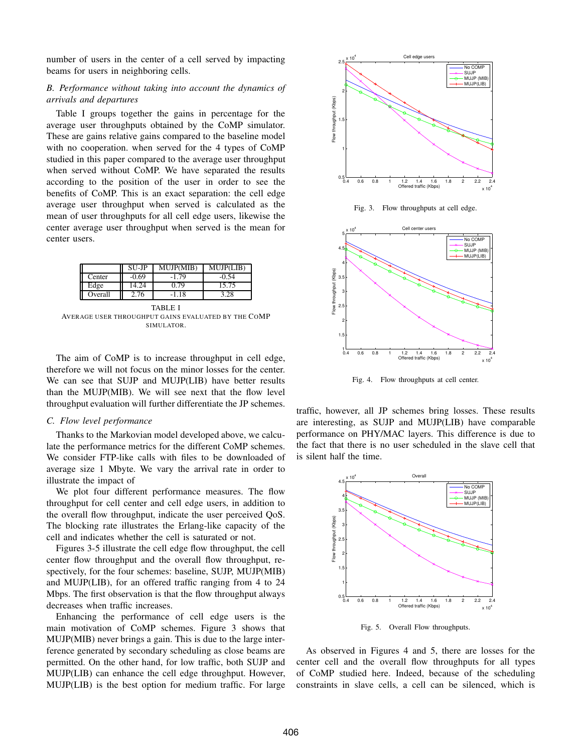number of users in the center of a cell served by impacting beams for users in neighboring cells.

#### *B. Performance without taking into account the dynamics of arrivals and departures*

Table I groups together the gains in percentage for the average user throughputs obtained by the CoMP simulator. These are gains relative gains compared to the baseline model with no cooperation. when served for the 4 types of CoMP studied in this paper compared to the average user throughput when served without CoMP. We have separated the results according to the position of the user in order to see the benefits of CoMP. This is an exact separation: the cell edge average user throughput when served is calculated as the mean of user throughputs for all cell edge users, likewise the center average user throughput when served is the mean for center users.

|         | SU-JP   | <b>MUJP(MIB)</b> | MUJP(LIB) |
|---------|---------|------------------|-----------|
| Center  | $-0.69$ | $-1.79$          | -0.54     |
| Edge    | 4.24    | 0.79             | 15.75     |
| Overall | 2.76    | -1.18            | 3.28      |

TABLE I AVERAGE USER THROUGHPUT GAINS EVALUATED BY THE COMP SIMULATOR.

The aim of CoMP is to increase throughput in cell edge, therefore we will not focus on the minor losses for the center. We can see that SUJP and MUJP(LIB) have better results than the MUJP(MIB). We will see next that the flow level throughput evaluation will further differentiate the JP schemes.

#### *C. Flow level performance*

Thanks to the Markovian model developed above, we calculate the performance metrics for the different CoMP schemes. We consider FTP-like calls with files to be downloaded of average size 1 Mbyte. We vary the arrival rate in order to illustrate the impact of

We plot four different performance measures. The flow throughput for cell center and cell edge users, in addition to the overall flow throughput, indicate the user perceived QoS. The blocking rate illustrates the Erlang-like capacity of the cell and indicates whether the cell is saturated or not.

Figures 3-5 illustrate the cell edge flow throughput, the cell center flow throughput and the overall flow throughput, respectively, for the four schemes: baseline, SUJP, MUJP(MIB) and MUJP(LIB), for an offered traffic ranging from 4 to 24 Mbps. The first observation is that the flow throughput always decreases when traffic increases.

Enhancing the performance of cell edge users is the main motivation of CoMP schemes. Figure 3 shows that MUJP(MIB) never brings a gain. This is due to the large interference generated by secondary scheduling as close beams are permitted. On the other hand, for low traffic, both SUJP and MUJP(LIB) can enhance the cell edge throughput. However, MUJP(LIB) is the best option for medium traffic. For large



Fig. 3. Flow throughputs at cell edge.



Fig. 4. Flow throughputs at cell center.

traffic, however, all JP schemes bring losses. These results are interesting, as SUJP and MUJP(LIB) have comparable performance on PHY/MAC layers. This difference is due to the fact that there is no user scheduled in the slave cell that is silent half the time.



Fig. 5. Overall Flow throughputs.

As observed in Figures 4 and 5, there are losses for the center cell and the overall flow throughputs for all types of CoMP studied here. Indeed, because of the scheduling constraints in slave cells, a cell can be silenced, which is